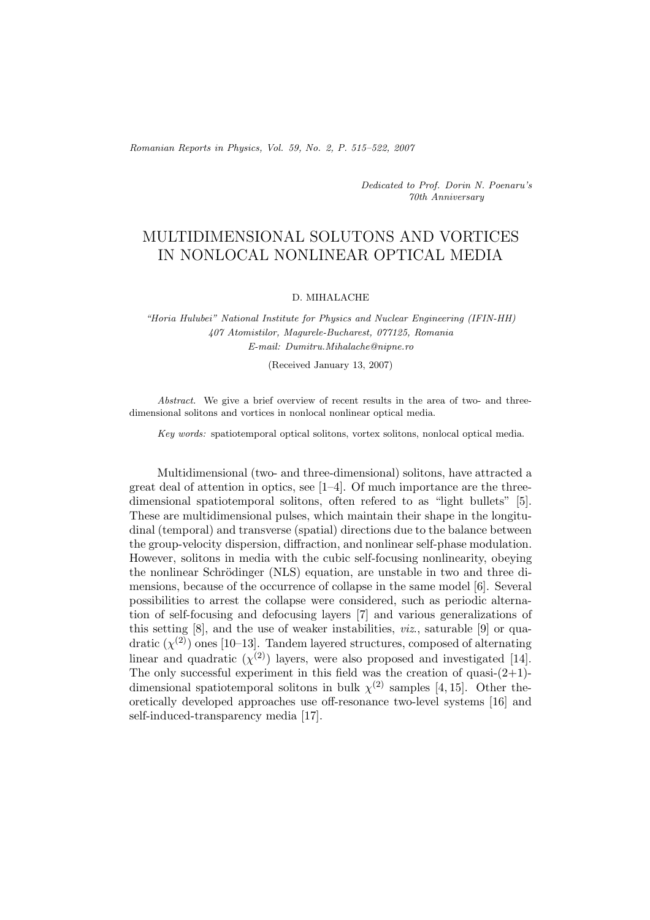*Romanian Reports in Physics, Vol. 59, No. 2, P. 515–522, 2007*

*Dedicated to Prof. Dorin N. Poenaru's 70th Anniversary*

## MULTIDIMENSIONAL SOLUTONS AND VORTICES IN NONLOCAL NONLINEAR OPTICAL MEDIA

## D. MIHALACHE

*"Horia Hulubei" National Institute for Physics and Nuclear Engineering (IFIN-HH) 407 Atomistilor, Magurele-Bucharest, 077125, Romania E-mail: Dumitru.Mihalache@nipne.ro*

(Received January 13, 2007)

*Abstract.* We give a brief overview of recent results in the area of two- and threedimensional solitons and vortices in nonlocal nonlinear optical media.

*Key words:* spatiotemporal optical solitons, vortex solitons, nonlocal optical media.

Multidimensional (two- and three-dimensional) solitons, have attracted a great deal of attention in optics, see  $[1-4]$ . Of much importance are the threedimensional spatiotemporal solitons, often refered to as "light bullets" [5]. These are multidimensional pulses, which maintain their shape in the longitudinal (temporal) and transverse (spatial) directions due to the balance between the group-velocity dispersion, diffraction, and nonlinear self-phase modulation. However, solitons in media with the cubic self-focusing nonlinearity, obeying the nonlinear Schrödinger (NLS) equation, are unstable in two and three dimensions, because of the occurrence of collapse in the same model [6]. Several possibilities to arrest the collapse were considered, such as periodic alternation of self-focusing and defocusing layers [7] and various generalizations of this setting [8], and the use of weaker instabilities, *viz*., saturable [9] or quadratic  $(\chi^{(2)})$  ones [10–13]. Tandem layered structures, composed of alternating linear and quadratic  $(\chi^{(2)})$  layers, were also proposed and investigated [14]. The only successful experiment in this field was the creation of quasi- $(2+1)$ dimensional spatiotemporal solitons in bulk  $\chi^{(2)}$  samples [4, 15]. Other theoretically developed approaches use off-resonance two-level systems [16] and self-induced-transparency media [17].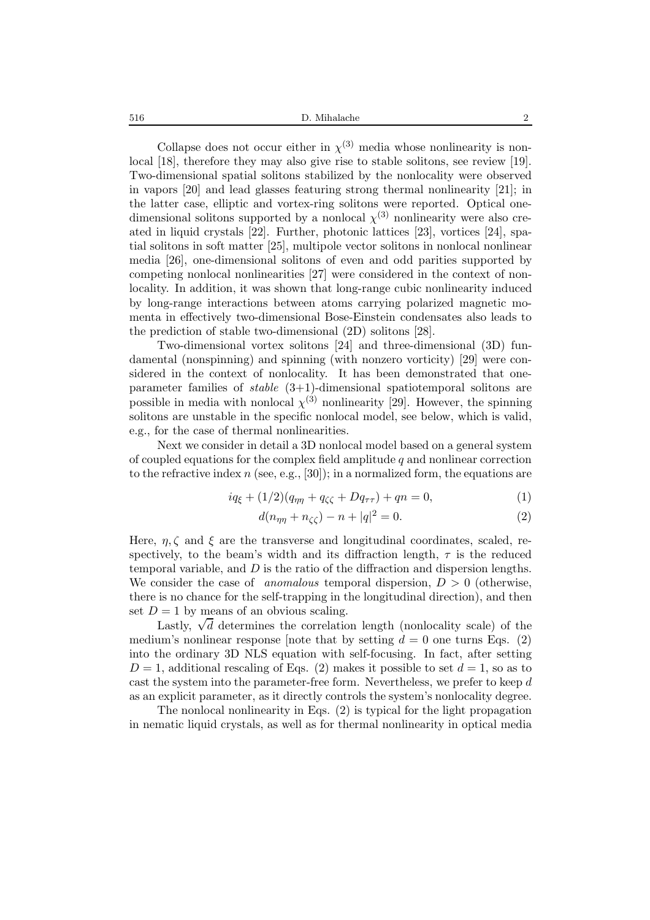516 D. Mihalache 2

Collapse does not occur either in  $\chi^{(3)}$  media whose nonlinearity is nonlocal [18], therefore they may also give rise to stable solitons, see review [19]. Two-dimensional spatial solitons stabilized by the nonlocality were observed in vapors [20] and lead glasses featuring strong thermal nonlinearity [21]; in the latter case, elliptic and vortex-ring solitons were reported. Optical onedimensional solitons supported by a nonlocal  $\chi^{(3)}$  nonlinearity were also created in liquid crystals [22]. Further, photonic lattices [23], vortices [24], spatial solitons in soft matter [25], multipole vector solitons in nonlocal nonlinear media [26], one-dimensional solitons of even and odd parities supported by competing nonlocal nonlinearities [27] were considered in the context of nonlocality. In addition, it was shown that long-range cubic nonlinearity induced by long-range interactions between atoms carrying polarized magnetic momenta in effectively two-dimensional Bose-Einstein condensates also leads to the prediction of stable two-dimensional (2D) solitons [28].

Two-dimensional vortex solitons [24] and three-dimensional (3D) fundamental (nonspinning) and spinning (with nonzero vorticity) [29] were considered in the context of nonlocality. It has been demonstrated that oneparameter families of *stable* (3+1)-dimensional spatiotemporal solitons are possible in media with nonlocal  $\chi^{(3)}$  nonlinearity [29]. However, the spinning solitons are unstable in the specific nonlocal model, see below, which is valid, e.g., for the case of thermal nonlinearities.

Next we consider in detail a 3D nonlocal model based on a general system of coupled equations for the complex field amplitude  $q$  and nonlinear correction to the refractive index  $n$  (see, e.g., [30]); in a normalized form, the equations are

$$
iq_{\xi} + (1/2)(q_{\eta\eta} + q_{\zeta\zeta} + Dq_{\tau\tau}) + qn = 0,
$$
\n(1)

$$
d(n_{\eta\eta} + n_{\zeta\zeta}) - n + |q|^2 = 0.
$$
 (2)

Here,  $\eta$ ,  $\zeta$  and  $\xi$  are the transverse and longitudinal coordinates, scaled, respectively, to the beam's width and its diffraction length,  $\tau$  is the reduced temporal variable, and D is the ratio of the diffraction and dispersion lengths. We consider the case of *anomalous* temporal dispersion,  $D > 0$  (otherwise, there is no chance for the self-trapping in the longitudinal direction), and then set  $D = 1$  by means of an obvious scaling.

Lastly,  $\sqrt{d}$  determines the correlation length (nonlocality scale) of the medium's nonlinear response [note that by setting  $d = 0$  one turns Eqs. (2) into the ordinary 3D NLS equation with self-focusing. In fact, after setting  $D=1$ , additional rescaling of Eqs. (2) makes it possible to set  $d=1$ , so as to cast the system into the parameter-free form. Nevertheless, we prefer to keep d as an explicit parameter, as it directly controls the system's nonlocality degree.

The nonlocal nonlinearity in Eqs. (2) is typical for the light propagation in nematic liquid crystals, as well as for thermal nonlinearity in optical media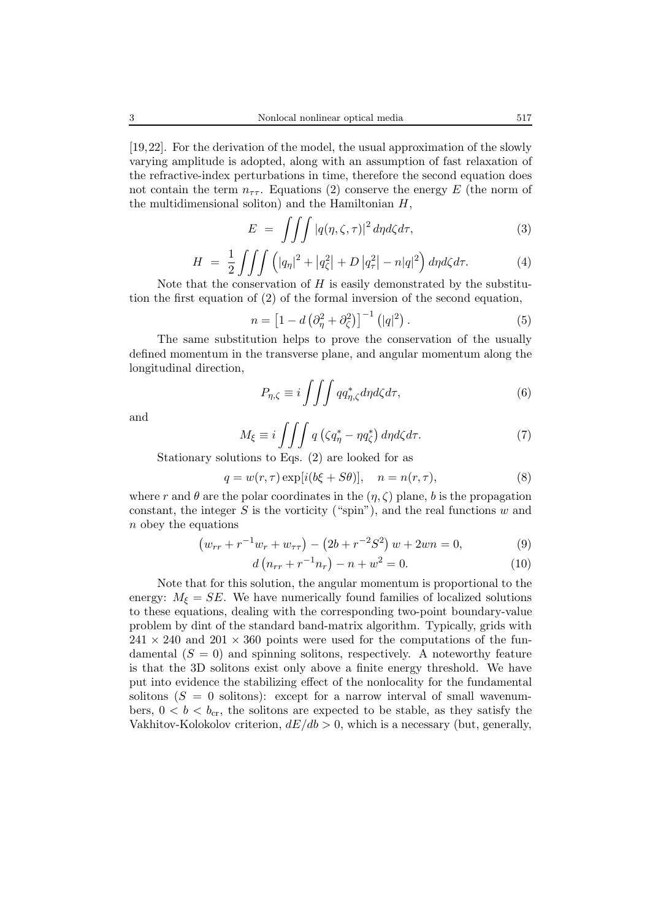[19,22]. For the derivation of the model, the usual approximation of the slowly varying amplitude is adopted, along with an assumption of fast relaxation of the refractive-index perturbations in time, therefore the second equation does not contain the term  $n_{\tau\tau}$ . Equations (2) conserve the energy E (the norm of the multidimensional soliton) and the Hamiltonian  $H$ ,

$$
E = \iiint |q(\eta, \zeta, \tau)|^2 d\eta d\zeta d\tau, \tag{3}
$$

$$
H = \frac{1}{2} \iiint \left( |q_{\eta}|^2 + |q_{\zeta}^2| + D|q_{\tau}^2| - n|q|^2 \right) d\eta d\zeta d\tau.
$$
 (4)

Note that the conservation of  $H$  is easily demonstrated by the substitution the first equation of (2) of the formal inversion of the second equation,

$$
n = \left[1 - d\left(\partial_{\eta}^{2} + \partial_{\zeta}^{2}\right)\right]^{-1} \left(|q|^{2}\right). \tag{5}
$$

The same substitution helps to prove the conservation of the usually defined momentum in the transverse plane, and angular momentum along the longitudinal direction,

$$
P_{\eta,\zeta} \equiv i \iiint q q_{\eta,\zeta}^* d\eta d\zeta d\tau,\tag{6}
$$

and

$$
M_{\xi} \equiv i \iiint q \left( \zeta q_{\eta}^* - \eta q_{\zeta}^* \right) d\eta d\zeta d\tau. \tag{7}
$$

Stationary solutions to Eqs. (2) are looked for as

$$
q = w(r, \tau) \exp[i(b\xi + S\theta)], \quad n = n(r, \tau), \tag{8}
$$

where r and  $\theta$  are the polar coordinates in the  $(\eta, \zeta)$  plane, b is the propagation constant, the integer  $S$  is the vorticity ("spin"), and the real functions  $w$  and n obey the equations

$$
(w_{rr} + r^{-1}w_r + w_{\tau\tau}) - (2b + r^{-2}S^2) w + 2wn = 0,
$$
\n(9)

$$
d\left(n_{rr} + r^{-1}n_r\right) - n + w^2 = 0.
$$
 (10)

Note that for this solution, the angular momentum is proportional to the energy:  $M_{\xi} = SE$ . We have numerically found families of localized solutions to these equations, dealing with the corresponding two-point boundary-value problem by dint of the standard band-matrix algorithm. Typically, grids with  $241 \times 240$  and  $201 \times 360$  points were used for the computations of the fundamental  $(S = 0)$  and spinning solitons, respectively. A noteworthy feature is that the 3D solitons exist only above a finite energy threshold. We have put into evidence the stabilizing effect of the nonlocality for the fundamental solitons  $(S = 0$  solitons): except for a narrow interval of small wavenumbers,  $0 < b < b_{cr}$ , the solitons are expected to be stable, as they satisfy the Vakhitov-Kolokolov criterion,  $dE/db > 0$ , which is a necessary (but, generally,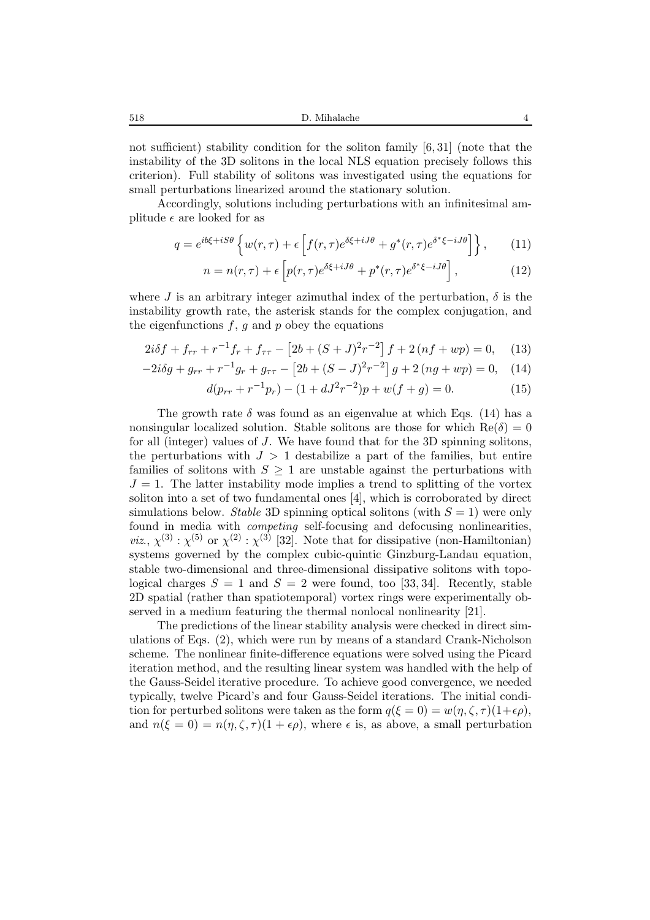518 D. Mihalache 4

not sufficient) stability condition for the soliton family [6, 31] (note that the instability of the 3D solitons in the local NLS equation precisely follows this criterion). Full stability of solitons was investigated using the equations for small perturbations linearized around the stationary solution.

Accordingly, solutions including perturbations with an infinitesimal amplitude  $\epsilon$  are looked for as

$$
q = e^{ib\xi + iS\theta} \left\{ w(r,\tau) + \epsilon \left[ f(r,\tau) e^{\delta\xi + iJ\theta} + g^*(r,\tau) e^{\delta^*\xi - iJ\theta} \right] \right\},\qquad(11)
$$

$$
n = n(r, \tau) + \epsilon \left[ p(r, \tau) e^{\delta \xi + iJ\theta} + p^*(r, \tau) e^{\delta^* \xi - iJ\theta} \right],
$$
 (12)

where J is an arbitrary integer azimuthal index of the perturbation,  $\delta$  is the instability growth rate, the asterisk stands for the complex conjugation, and the eigenfunctions  $f, g$  and  $p$  obey the equations

$$
2i\delta f + f_{rr} + r^{-1}f_r + f_{\tau\tau} - \left[2b + (S+J)^2r^{-2}\right]f + 2\left(nf + wp\right) = 0,\tag{13}
$$

$$
-2i\delta g + g_{rr} + r^{-1}g_r + g_{\tau\tau} - [2b + (S - J)^2 r^{-2}] g + 2(ng + wp) = 0, \quad (14)
$$

$$
d(p_{rr} + r^{-1}p_r) - (1 + dJ^2r^{-2})p + w(f + g) = 0.
$$
 (15)

The growth rate  $\delta$  was found as an eigenvalue at which Eqs. (14) has a nonsingular localized solution. Stable solitons are those for which  $\text{Re}(\delta)=0$ for all (integer) values of J. We have found that for the 3D spinning solitons, the perturbations with  $J > 1$  destabilize a part of the families, but entire families of solitons with  $S \geq 1$  are unstable against the perturbations with  $J = 1$ . The latter instability mode implies a trend to splitting of the vortex soliton into a set of two fundamental ones [4], which is corroborated by direct simulations below. *Stable* 3D spinning optical solitons (with  $S = 1$ ) were only found in media with *competing* self-focusing and defocusing nonlinearities, *viz*.,  $\chi^{(3)}$ :  $\chi^{(5)}$  or  $\chi^{(2)}$ :  $\chi^{(3)}$  [32]. Note that for dissipative (non-Hamiltonian) systems governed by the complex cubic-quintic Ginzburg-Landau equation, stable two-dimensional and three-dimensional dissipative solitons with topological charges  $S = 1$  and  $S = 2$  were found, too [33, 34]. Recently, stable 2D spatial (rather than spatiotemporal) vortex rings were experimentally observed in a medium featuring the thermal nonlocal nonlinearity [21].

The predictions of the linear stability analysis were checked in direct simulations of Eqs. (2), which were run by means of a standard Crank-Nicholson scheme. The nonlinear finite-difference equations were solved using the Picard iteration method, and the resulting linear system was handled with the help of the Gauss-Seidel iterative procedure. To achieve good convergence, we needed typically, twelve Picard's and four Gauss-Seidel iterations. The initial condition for perturbed solitons were taken as the form  $q(\xi = 0) = w(\eta, \zeta, \tau) (1 + \epsilon \rho)$ , and  $n(\xi = 0) = n(\eta, \zeta, \tau)(1 + \epsilon \rho)$ , where  $\epsilon$  is, as above, a small perturbation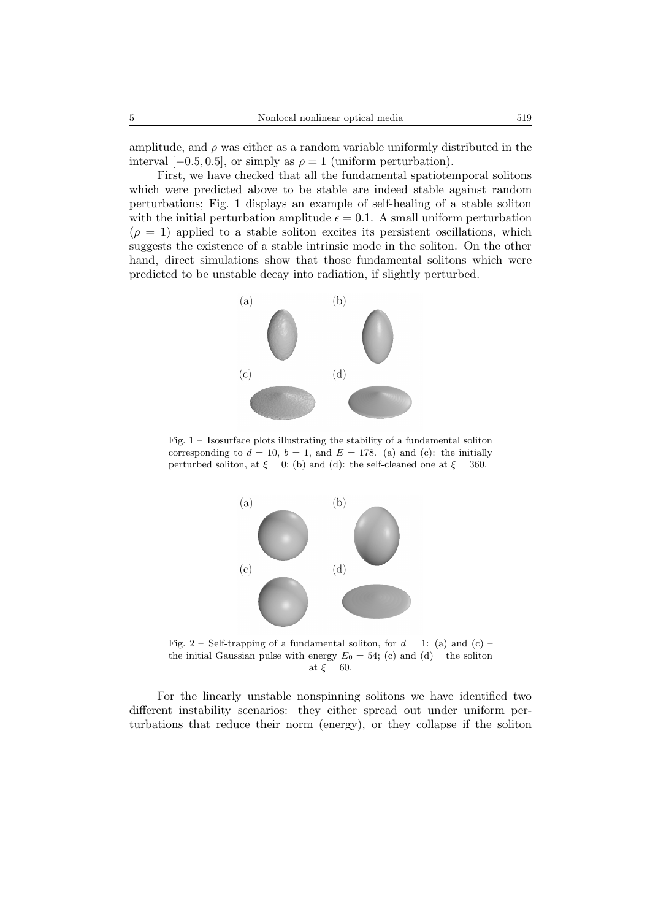amplitude, and  $\rho$  was either as a random variable uniformly distributed in the interval  $[-0.5, 0.5]$ , or simply as  $\rho = 1$  (uniform perturbation).

First, we have checked that all the fundamental spatiotemporal solitons which were predicted above to be stable are indeed stable against random perturbations; Fig. 1 displays an example of self-healing of a stable soliton with the initial perturbation amplitude  $\epsilon = 0.1$ . A small uniform perturbation  $(\rho = 1)$  applied to a stable soliton excites its persistent oscillations, which suggests the existence of a stable intrinsic mode in the soliton. On the other hand, direct simulations show that those fundamental solitons which were predicted to be unstable decay into radiation, if slightly perturbed.



Fig. 1 – Isosurface plots illustrating the stability of a fundamental soliton corresponding to  $d = 10$ ,  $b = 1$ , and  $E = 178$ . (a) and (c): the initially perturbed soliton, at  $\xi = 0$ ; (b) and (d): the self-cleaned one at  $\xi = 360$ .



Fig. 2 – Self-trapping of a fundamental soliton, for  $d = 1$ : (a) and (c) – the initial Gaussian pulse with energy  $E_0 = 54$ ; (c) and (d) – the soliton at  $\xi = 60$ .

For the linearly unstable nonspinning solitons we have identified two different instability scenarios: they either spread out under uniform perturbations that reduce their norm (energy), or they collapse if the soliton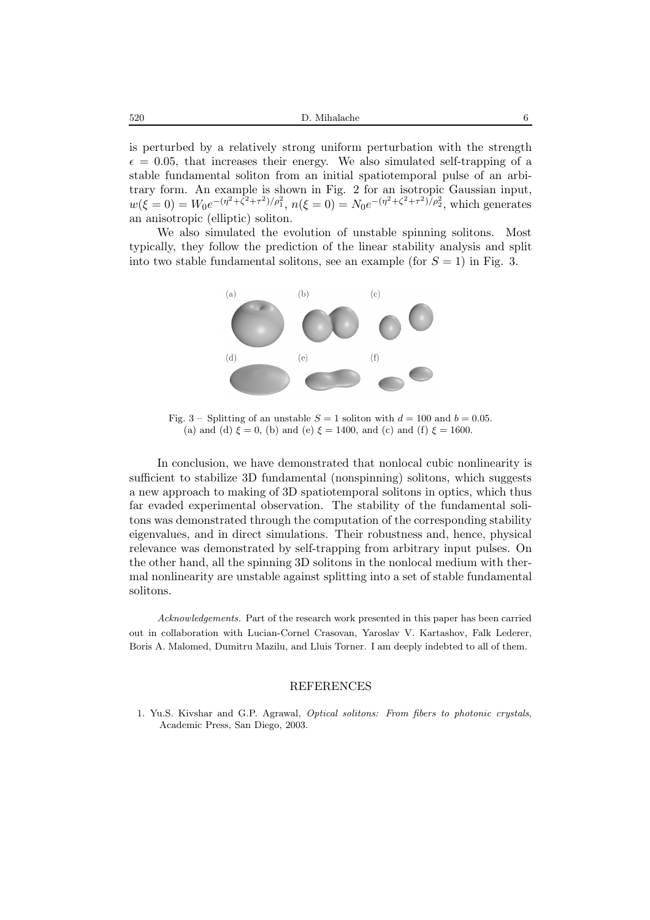is perturbed by a relatively strong uniform perturbation with the strength  $\epsilon = 0.05$ , that increases their energy. We also simulated self-trapping of a stable fundamental soliton from an initial spatiotemporal pulse of an arbitrary form. An example is shown in Fig. 2 for an isotropic Gaussian input,  $w(\xi = 0) = W_0 e^{-(\eta^2 + \zeta^2 + \tau^2)/\rho_1^2}$ ,  $n(\xi = 0) = N_0 e^{-(\eta^2 + \zeta^2 + \tau^2)/\rho_2^2}$ , which generates an anisotropic (elliptic) soliton.

We also simulated the evolution of unstable spinning solitons. Most typically, they follow the prediction of the linear stability analysis and split into two stable fundamental solitons, see an example (for  $S = 1$ ) in Fig. 3.



Fig. 3 – Splitting of an unstable  $S = 1$  soliton with  $d = 100$  and  $b = 0.05$ . (a) and (d)  $\xi = 0$ , (b) and (e)  $\xi = 1400$ , and (c) and (f)  $\xi = 1600$ .

In conclusion, we have demonstrated that nonlocal cubic nonlinearity is sufficient to stabilize 3D fundamental (nonspinning) solitons, which suggests a new approach to making of 3D spatiotemporal solitons in optics, which thus far evaded experimental observation. The stability of the fundamental solitons was demonstrated through the computation of the corresponding stability eigenvalues, and in direct simulations. Their robustness and, hence, physical relevance was demonstrated by self-trapping from arbitrary input pulses. On the other hand, all the spinning 3D solitons in the nonlocal medium with thermal nonlinearity are unstable against splitting into a set of stable fundamental solitons.

*Acknowledgements.* Part of the research work presented in this paper has been carried out in collaboration with Lucian-Cornel Crasovan, Yaroslav V. Kartashov, Falk Lederer, Boris A. Malomed, Dumitru Mazilu, and Lluis Torner. I am deeply indebted to all of them.

## REFERENCES

1. Yu.S. Kivshar and G.P. Agrawal, *Optical solitons: From fibers to photonic crystals*, Academic Press, San Diego, 2003.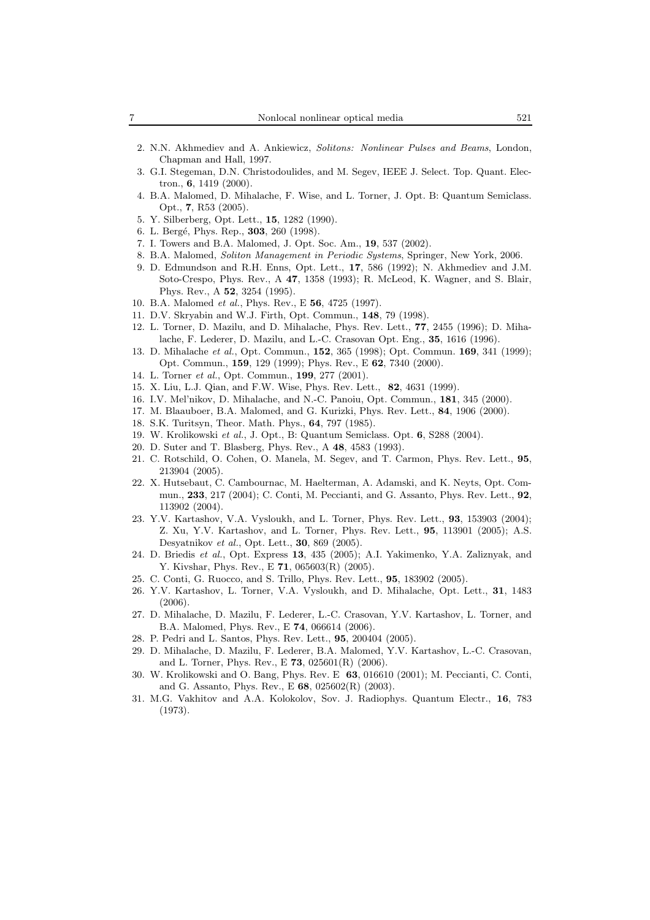- 2. N.N. Akhmediev and A. Ankiewicz, *Solitons: Nonlinear Pulses and Beams*, London, Chapman and Hall, 1997.
- 3. G.I. Stegeman, D.N. Christodoulides, and M. Segev, IEEE J. Select. Top. Quant. Electron., **6**, 1419 (2000).
- 4. B.A. Malomed, D. Mihalache, F. Wise, and L. Torner, J. Opt. B: Quantum Semiclass. Opt., **7**, R53 (2005).
- 5. Y. Silberberg, Opt. Lett., **15**, 1282 (1990).
- 6. L. Berg´e, Phys. Rep., **303**, 260 (1998).
- 7. I. Towers and B.A. Malomed, J. Opt. Soc. Am., **19**, 537 (2002).
- 8. B.A. Malomed, *Soliton Management in Periodic Systems*, Springer, New York, 2006.
- 9. D. Edmundson and R.H. Enns, Opt. Lett., **17**, 586 (1992); N. Akhmediev and J.M. Soto-Crespo, Phys. Rev., A **47**, 1358 (1993); R. McLeod, K. Wagner, and S. Blair, Phys. Rev., A **52**, 3254 (1995).
- 10. B.A. Malomed *et al.*, Phys. Rev., E **56**, 4725 (1997).
- 11. D.V. Skryabin and W.J. Firth, Opt. Commun., **148**, 79 (1998).
- 12. L. Torner, D. Mazilu, and D. Mihalache, Phys. Rev. Lett., **77**, 2455 (1996); D. Mihalache, F. Lederer, D. Mazilu, and L.-C. Crasovan Opt. Eng., **35**, 1616 (1996).
- 13. D. Mihalache *et al.*, Opt. Commun., **152**, 365 (1998); Opt. Commun. **169**, 341 (1999); Opt. Commun., **159**, 129 (1999); Phys. Rev., E **62**, 7340 (2000).
- 14. L. Torner *et al.*, Opt. Commun., **199**, 277 (2001).
- 15. X. Liu, L.J. Qian, and F.W. Wise, Phys. Rev. Lett., **82**, 4631 (1999).
- 16. I.V. Mel'nikov, D. Mihalache, and N.-C. Panoiu, Opt. Commun., **181**, 345 (2000).
- 17. M. Blaauboer, B.A. Malomed, and G. Kurizki, Phys. Rev. Lett., **84**, 1906 (2000).
- 18. S.K. Turitsyn, Theor. Math. Phys., **64**, 797 (1985).
- 19. W. Krolikowski *et al.*, J. Opt., B: Quantum Semiclass. Opt. **6**, S288 (2004).
- 20. D. Suter and T. Blasberg, Phys. Rev., A **48**, 4583 (1993).
- 21. C. Rotschild, O. Cohen, O. Manela, M. Segev, and T. Carmon, Phys. Rev. Lett., **95**, 213904 (2005).
- 22. X. Hutsebaut, C. Cambournac, M. Haelterman, A. Adamski, and K. Neyts, Opt. Commun., **233**, 217 (2004); C. Conti, M. Peccianti, and G. Assanto, Phys. Rev. Lett., **92**, 113902 (2004).
- 23. Y.V. Kartashov, V.A. Vysloukh, and L. Torner, Phys. Rev. Lett., **93**, 153903 (2004); Z. Xu, Y.V. Kartashov, and L. Torner, Phys. Rev. Lett., **95**, 113901 (2005); A.S. Desyatnikov *et al.*, Opt. Lett., **30**, 869 (2005).
- 24. D. Briedis *et al.*, Opt. Express **13**, 435 (2005); A.I. Yakimenko, Y.A. Zaliznyak, and Y. Kivshar, Phys. Rev., E **71**, 065603(R) (2005).
- 25. C. Conti, G. Ruocco, and S. Trillo, Phys. Rev. Lett., **95**, 183902 (2005).
- 26. Y.V. Kartashov, L. Torner, V.A. Vysloukh, and D. Mihalache, Opt. Lett., **31**, 1483 (2006).
- 27. D. Mihalache, D. Mazilu, F. Lederer, L.-C. Crasovan, Y.V. Kartashov, L. Torner, and B.A. Malomed, Phys. Rev., E **74**, 066614 (2006).
- 28. P. Pedri and L. Santos, Phys. Rev. Lett., **95**, 200404 (2005).
- 29. D. Mihalache, D. Mazilu, F. Lederer, B.A. Malomed, Y.V. Kartashov, L.-C. Crasovan, and L. Torner, Phys. Rev., E **73**, 025601(R) (2006).
- 30. W. Krolikowski and O. Bang, Phys. Rev. E **63**, 016610 (2001); M. Peccianti, C. Conti, and G. Assanto, Phys. Rev., E **68**, 025602(R) (2003).
- 31. M.G. Vakhitov and A.A. Kolokolov, Sov. J. Radiophys. Quantum Electr., **16**, 783 (1973).